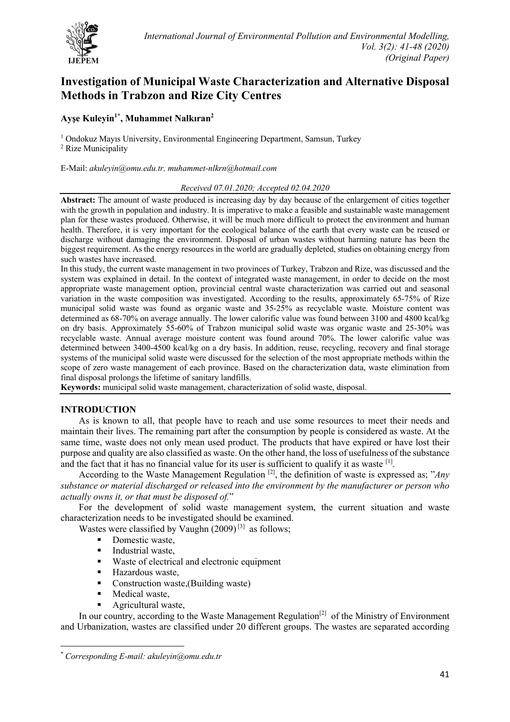

# **Investigation of Municipal Waste Characterization and Alternative Disposal Methods in Trabzon and Rize City Centres**

# **Ayşe Kuleyin1\* , Muhammet Nalkıran2**

<sup>1</sup> Ondokuz Mayıs University, Environmental Engineering Department, Samsun, Turkey

<sup>2</sup> Rize Municipality

E-Mail: *akuleyin@omu.edu.tr, muhammet-nlkrn@hotmail.com*

# *Received 07.01.2020; Accepted 02.04.2020*

**Abstract:** The amount of waste produced is increasing day by day because of the enlargement of cities together with the growth in population and industry. It is imperative to make a feasible and sustainable waste management plan for these wastes produced. Otherwise, it will be much more difficult to protect the environment and human health. Therefore, it is very important for the ecological balance of the earth that every waste can be reused or discharge without damaging the environment. Disposal of urban wastes without harming nature has been the biggest requirement. As the energy resources in the world are gradually depleted, studies on obtaining energy from such wastes have increased.

In this study, the current waste management in two provinces of Turkey, Trabzon and Rize, was discussed and the system was explained in detail. In the context of integrated waste management, in order to decide on the most appropriate waste management option, provincial central waste characterization was carried out and seasonal variation in the waste composition was investigated. According to the results, approximately 65-75% of Rize municipal solid waste was found as organic waste and 35-25% as recyclable waste. Moisture content was determined as 68-70% on average annually. The lower calorific value was found between 3100 and 4800 kcal/kg on dry basis. Approximately 55-60% of Trabzon municipal solid waste was organic waste and 25-30% was recyclable waste. Annual average moisture content was found around 70%. The lower calorific value was determined between 3400-4500 kcal/kg on a dry basis. In addition, reuse, recycling, recovery and final storage systems of the municipal solid waste were discussed for the selection of the most appropriate methods within the scope of zero waste management of each province. Based on the characterization data, waste elimination from final disposal prolongs the lifetime of sanitary landfills.

**Keywords:** municipal solid waste management, characterization of solid waste, disposal.

# **INTRODUCTION**

As is known to all, that people have to reach and use some resources to meet their needs and maintain their lives. The remaining part after the consumption by people is considered as waste. At the same time, waste does not only mean used product. The products that have expired or have lost their purpose and quality are also classified as waste. On the other hand, the loss of usefulness of the substance and the fact that it has no financial value for its user is sufficient to qualify it as waste  $[1]$ .

According to the Waste Management Regulation<sup>[2]</sup>, the definition of waste is expressed as; "*Any substance or material discharged or released into the environment by the manufacturer or person who actually owns it, or that must be disposed of.*"

For the development of solid waste management system, the current situation and waste characterization needs to be investigated should be examined.

Wastes were classified by Vaughn  $(2009)^{[3]}$  as follows:

- Domestic waste,
- Industrial waste,
- Waste of electrical and electronic equipment
- Hazardous waste,
- Construction waste,(Building waste)
- Medical waste,
- § Agricultural waste,

In our country, according to the Waste Management Regulation<sup>[2]</sup> of the Ministry of Environment and Urbanization, wastes are classified under 20 different groups. The wastes are separated according

<sup>\*</sup> *Corresponding E-mail: akuleyin@omu.edu.tr*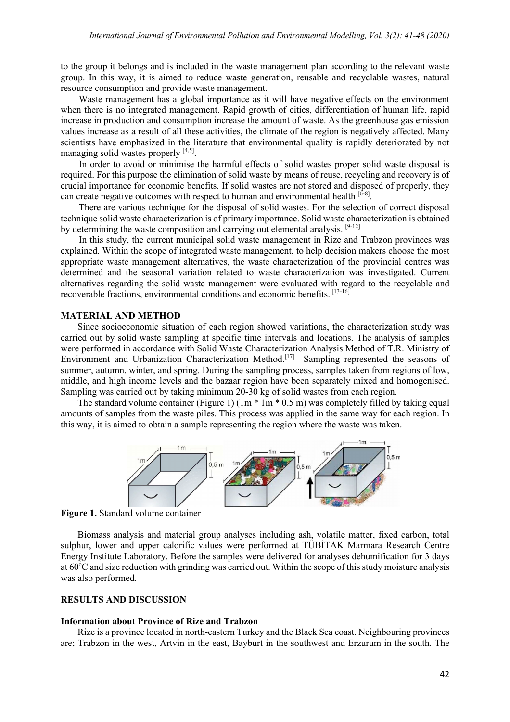to the group it belongs and is included in the waste management plan according to the relevant waste group. In this way, it is aimed to reduce waste generation, reusable and recyclable wastes, natural resource consumption and provide waste management.

Waste management has a global importance as it will have negative effects on the environment when there is no integrated management. Rapid growth of cities, differentiation of human life, rapid increase in production and consumption increase the amount of waste. As the greenhouse gas emission values increase as a result of all these activities, the climate of the region is negatively affected. Many scientists have emphasized in the literature that environmental quality is rapidly deteriorated by not managing solid wastes properly [4,5].

In order to avoid or minimise the harmful effects of solid wastes proper solid waste disposal is required. For this purpose the elimination of solid waste by means of reuse, recycling and recovery is of crucial importance for economic benefits. If solid wastes are not stored and disposed of properly, they can create negative outcomes with respect to human and environmental health  $[6-8]$ .

There are various technique for the disposal of solid wastes. For the selection of correct disposal technique solid waste characterization is of primary importance. Solid waste characterization is obtained by determining the waste composition and carrying out elemental analysis. [9-12]

In this study, the current municipal solid waste management in Rize and Trabzon provinces was explained. Within the scope of integrated waste management, to help decision makers choose the most appropriate waste management alternatives, the waste characterization of the provincial centres was determined and the seasonal variation related to waste characterization was investigated. Current alternatives regarding the solid waste management were evaluated with regard to the recyclable and recoverable fractions, environmental conditions and economic benefits. [13-16]

## **MATERIAL AND METHOD**

Since socioeconomic situation of each region showed variations, the characterization study was carried out by solid waste sampling at specific time intervals and locations. The analysis of samples were performed in accordance with Solid Waste Characterization Analysis Method of T.R. Ministry of Environment and Urbanization Characterization Method.<sup>[17]</sup> Sampling represented the seasons of summer, autumn, winter, and spring. During the sampling process, samples taken from regions of low, middle, and high income levels and the bazaar region have been separately mixed and homogenised. Sampling was carried out by taking minimum 20-30 kg of solid wastes from each region.

The standard volume container (Figure 1)  $(1m * 1m * 0.5 m)$  was completely filled by taking equal amounts of samples from the waste piles. This process was applied in the same way for each region. In this way, it is aimed to obtain a sample representing the region where the waste was taken.



**Figure 1.** Standard volume container

Biomass analysis and material group analyses including ash, volatile matter, fixed carbon, total sulphur, lower and upper calorific values were performed at TÜBİTAK Marmara Research Centre Energy Institute Laboratory. Before the samples were delivered for analyses dehumification for 3 days at 60°C and size reduction with grinding was carried out. Within the scope of this study moisture analysis was also performed.

# **RESULTS AND DISCUSSION**

#### **Information about Province of Rize and Trabzon**

Rize is a province located in north-eastern Turkey and the Black Sea coast. Neighbouring provinces are; Trabzon in the west, Artvin in the east, Bayburt in the southwest and Erzurum in the south. The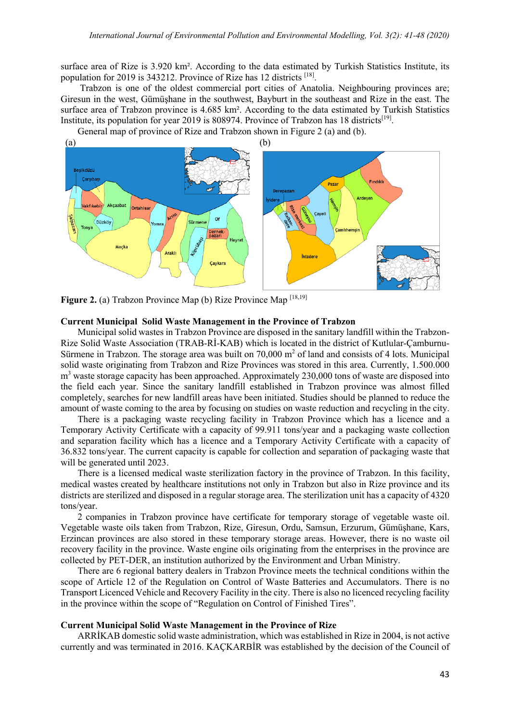surface area of Rize is 3.920 km². According to the data estimated by Turkish Statistics Institute, its population for 2019 is 343212. Province of Rize has 12 districts [18].

Trabzon is one of the oldest commercial port cities of Anatolia. Neighbouring provinces are; Giresun in the west, Gümüşhane in the southwest, Bayburt in the southeast and Rize in the east. The surface area of Trabzon province is 4.685 km². According to the data estimated by Turkish Statistics Institute, its population for year 2019 is 808974. Province of Trabzon has 18 districts<sup>[19]</sup>.

General map of province of Rize and Trabzon shown in Figure 2 (a) and (b).



Figure 2. (a) Trabzon Province Map (b) Rize Province Map [18,19]

#### **Current Municipal Solid Waste Management in the Province of Trabzon**

Municipal solid wastes in Trabzon Province are disposed in the sanitary landfill within the Trabzon-Rize Solid Waste Association (TRAB-Rİ-KAB) which is located in the district of Kutlular-Çamburnu-Sürmene in Trabzon. The storage area was built on  $70,000$  m<sup>2</sup> of land and consists of 4 lots. Municipal solid waste originating from Trabzon and Rize Provinces was stored in this area. Currently, 1.500.000  $m<sup>3</sup>$  waste storage capacity has been approached. Approximately 230,000 tons of waste are disposed into the field each year. Since the sanitary landfill established in Trabzon province was almost filled completely, searches for new landfill areas have been initiated. Studies should be planned to reduce the amount of waste coming to the area by focusing on studies on waste reduction and recycling in the city.

There is a packaging waste recycling facility in Trabzon Province which has a licence and a Temporary Activity Certificate with a capacity of 99.911 tons/year and a packaging waste collection and separation facility which has a licence and a Temporary Activity Certificate with a capacity of 36.832 tons/year. The current capacity is capable for collection and separation of packaging waste that will be generated until 2023.

There is a licensed medical waste sterilization factory in the province of Trabzon. In this facility, medical wastes created by healthcare institutions not only in Trabzon but also in Rize province and its districts are sterilized and disposed in a regular storage area. The sterilization unit has a capacity of 4320 tons/year.

2 companies in Trabzon province have certificate for temporary storage of vegetable waste oil. Vegetable waste oils taken from Trabzon, Rize, Giresun, Ordu, Samsun, Erzurum, Gümüşhane, Kars, Erzincan provinces are also stored in these temporary storage areas. However, there is no waste oil recovery facility in the province. Waste engine oils originating from the enterprises in the province are collected by PET-DER, an institution authorized by the Environment and Urban Ministry.

There are 6 regional battery dealers in Trabzon Province meets the technical conditions within the scope of Article 12 of the Regulation on Control of Waste Batteries and Accumulators. There is no Transport Licenced Vehicle and Recovery Facility in the city. There is also no licenced recycling facility in the province within the scope of "Regulation on Control of Finished Tires".

#### **Current Municipal Solid Waste Management in the Province of Rize**

ARRİKAB domestic solid waste administration, which was established in Rize in 2004, is not active currently and was terminated in 2016. KAÇKARBİR was established by the decision of the Council of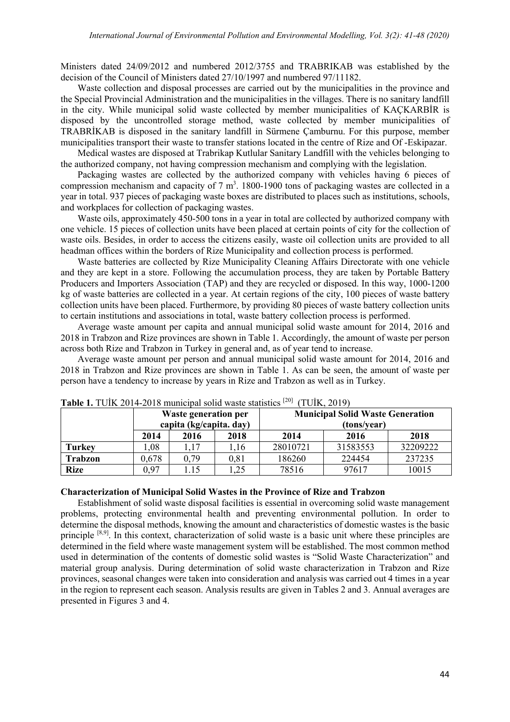Ministers dated 24/09/2012 and numbered 2012/3755 and TRABRIKAB was established by the decision of the Council of Ministers dated 27/10/1997 and numbered 97/11182.

Waste collection and disposal processes are carried out by the municipalities in the province and the Special Provincial Administration and the municipalities in the villages. There is no sanitary landfill in the city. While municipal solid waste collected by member municipalities of KAÇKARBİR is disposed by the uncontrolled storage method, waste collected by member municipalities of TRABRİKAB is disposed in the sanitary landfill in Sürmene Çamburnu. For this purpose, member municipalities transport their waste to transfer stations located in the centre of Rize and Of -Eskipazar.

Medical wastes are disposed at Trabrikap Kutlular Sanitary Landfill with the vehicles belonging to the authorized company, not having compression mechanism and complying with the legislation.

Packaging wastes are collected by the authorized company with vehicles having 6 pieces of compression mechanism and capacity of  $7 \text{ m}^3$ . 1800-1900 tons of packaging wastes are collected in a year in total. 937 pieces of packaging waste boxes are distributed to places such as institutions, schools, and workplaces for collection of packaging wastes.

Waste oils, approximately 450-500 tons in a year in total are collected by authorized company with one vehicle. 15 pieces of collection units have been placed at certain points of city for the collection of waste oils. Besides, in order to access the citizens easily, waste oil collection units are provided to all headman offices within the borders of Rize Municipality and collection process is performed.

Waste batteries are collected by Rize Municipality Cleaning Affairs Directorate with one vehicle and they are kept in a store. Following the accumulation process, they are taken by Portable Battery Producers and Importers Association (TAP) and they are recycled or disposed. In this way, 1000-1200 kg of waste batteries are collected in a year. At certain regions of the city, 100 pieces of waste battery collection units have been placed. Furthermore, by providing 80 pieces of waste battery collection units to certain institutions and associations in total, waste battery collection process is performed.

Average waste amount per capita and annual municipal solid waste amount for 2014, 2016 and 2018 in Trabzon and Rize provinces are shown in Table 1. Accordingly, the amount of waste per person across both Rize and Trabzon in Turkey in general and, as of year tend to increase.

Average waste amount per person and annual municipal solid waste amount for 2014, 2016 and 2018 in Trabzon and Rize provinces are shown in Table 1. As can be seen, the amount of waste per person have a tendency to increase by years in Rize and Trabzon as well as in Turkey.

|                |       | Waste generation per<br>capita (kg/capita. day) |           | <b>Municipal Solid Waste Generation</b><br>(tons/year) |          |          |  |
|----------------|-------|-------------------------------------------------|-----------|--------------------------------------------------------|----------|----------|--|
|                | 2014  | 2016                                            | 2018      | 2014                                                   | 2016     | 2018     |  |
| <b>Turkey</b>  | ,08   | 1,17                                            | ,16       | 28010721                                               | 31583553 | 32209222 |  |
| <b>Trabzon</b> | 0,678 | 0,79                                            | $_{0,81}$ | 186260                                                 | 224454   | 237235   |  |
| <b>Rize</b>    | 0,97  | 1.15                                            | ,25       | 78516                                                  | 97617    | 10015    |  |

**Table 1.** TUİK 2014-2018 municipal solid waste statistics [20] (TUİK, 2019)

#### **Characterization of Municipal Solid Wastes in the Province of Rize and Trabzon**

Establishment of solid waste disposal facilities is essential in overcoming solid waste management problems, protecting environmental health and preventing environmental pollution. In order to determine the disposal methods, knowing the amount and characteristics of domestic wastes is the basic principle [8,9]. In this context, characterization of solid waste is a basic unit where these principles are determined in the field where waste management system will be established. The most common method used in determination of the contents of domestic solid wastes is "Solid Waste Characterization" and material group analysis. During determination of solid waste characterization in Trabzon and Rize provinces, seasonal changes were taken into consideration and analysis was carried out 4 times in a year in the region to represent each season. Analysis results are given in Tables 2 and 3. Annual averages are presented in Figures 3 and 4.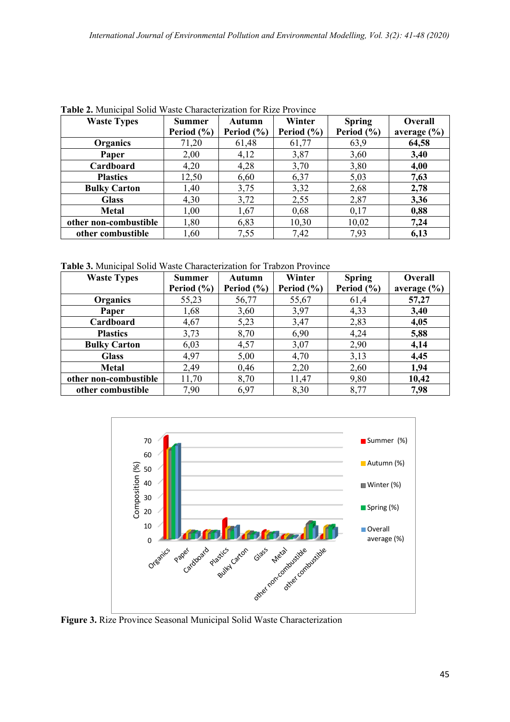| <b>Waste Types</b>    | <b>Summer</b>  | Autumn         | Winter         | <b>Spring</b>  | Overall         |
|-----------------------|----------------|----------------|----------------|----------------|-----------------|
|                       | Period $(\% )$ | Period $(\% )$ | Period $(\% )$ | Period $(\% )$ | average $(\% )$ |
| Organics              | 71,20          | 61,48          | 61,77          | 63,9           | 64,58           |
| Paper                 | 2,00           | 4,12           | 3,87           | 3,60           | 3,40            |
| Cardboard             | 4,20           | 4,28           | 3,70           | 3,80           | 4,00            |
| <b>Plastics</b>       | 12,50          | 6,60           | 6,37           | 5,03           | 7,63            |
| <b>Bulky Carton</b>   | 1,40           | 3,75           | 3,32           | 2,68           | 2,78            |
| <b>Glass</b>          | 4,30           | 3,72           | 2,55           | 2,87           | 3,36            |
| <b>Metal</b>          | 1,00           | 1,67           | 0,68           | 0,17           | 0,88            |
| other non-combustible | 1,80           | 6,83           | 10,30          | 10,02          | 7,24            |
| other combustible     | 1,60           | 7,55           | 7,42           | 7,93           | 6,13            |

**Table 2.** Municipal Solid Waste Characterization for Rize Province

**Table 3.** Municipal Solid Waste Characterization for Trabzon Province

| <b>Waste Types</b>    | <b>Summer</b>  | Autumn         | Winter         | <b>Spring</b> | <b>Overall</b>  |
|-----------------------|----------------|----------------|----------------|---------------|-----------------|
|                       | Period $(\% )$ | Period $(\% )$ | Period $(\% )$ | Period (%)    | average $(\% )$ |
| <b>Organics</b>       | 55,23          | 56,77          | 55,67          | 61,4          | 57,27           |
| Paper                 | 1,68           | 3,60           | 3,97           | 4,33          | 3,40            |
| Cardboard             | 4,67           | 5,23           | 3,47           | 2,83          | 4,05            |
| <b>Plastics</b>       | 3,73           | 8,70           | 6,90           | 4,24          | 5,88            |
| <b>Bulky Carton</b>   | 6,03           | 4,57           | 3,07           | 2,90          | 4,14            |
| <b>Glass</b>          | 4,97           | 5,00           | 4,70           | 3,13          | 4,45            |
| <b>Metal</b>          | 2,49           | 0,46           | 2,20           | 2,60          | 1,94            |
| other non-combustible | 11,70          | 8,70           | 11,47          | 9,80          | 10,42           |
| other combustible     | 7,90           | 6,97           | 8,30           | 8,77          | 7,98            |



**Figure 3.** Rize Province Seasonal Municipal Solid Waste Characterization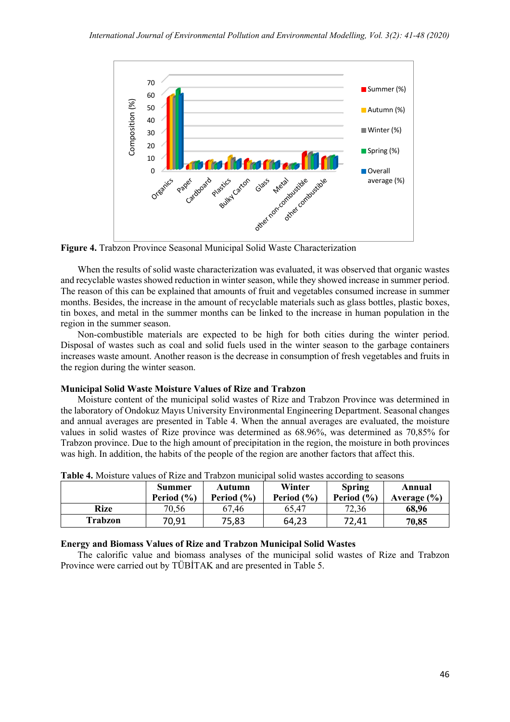

**Figure 4.** Trabzon Province Seasonal Municipal Solid Waste Characterization

When the results of solid waste characterization was evaluated, it was observed that organic wastes and recyclable wastes showed reduction in winter season, while they showed increase in summer period. The reason of this can be explained that amounts of fruit and vegetables consumed increase in summer months. Besides, the increase in the amount of recyclable materials such as glass bottles, plastic boxes, tin boxes, and metal in the summer months can be linked to the increase in human population in the region in the summer season.

Non-combustible materials are expected to be high for both cities during the winter period. Disposal of wastes such as coal and solid fuels used in the winter season to the garbage containers increases waste amount. Another reason is the decrease in consumption of fresh vegetables and fruits in the region during the winter season.

# **Municipal Solid Waste Moisture Values of Rize and Trabzon**

Moisture content of the municipal solid wastes of Rize and Trabzon Province was determined in the laboratory of Ondokuz Mayıs University Environmental Engineering Department. Seasonal changes and annual averages are presented in Table 4. When the annual averages are evaluated, the moisture values in solid wastes of Rize province was determined as 68.96%, was determined as 70,85% for Trabzon province. Due to the high amount of precipitation in the region, the moisture in both provinces was high. In addition, the habits of the people of the region are another factors that affect this.

| Table 7. MOBUTO VARIO 9 TVIZO AND TTAOZON MAMORIDAI SONG WASIOS ACCORDING IO SCASONS |                          |                          |                          |                                 |                           |  |
|--------------------------------------------------------------------------------------|--------------------------|--------------------------|--------------------------|---------------------------------|---------------------------|--|
|                                                                                      | Summer<br>Period $(\% )$ | Autumn<br>Period $(\% )$ | Winter<br>Period $(\% )$ | <b>Spring</b><br>Period $(\% )$ | Annual<br>Average $(\% )$ |  |
| Rize                                                                                 | 70,56                    | 67,46                    | 65.47                    | 72,36                           | 68,96                     |  |
| Trabzon                                                                              | 70,91                    | 75,83                    | 64,23                    | 72,41                           | 70,85                     |  |

**Table 4.** Moisture values of Rize and Trabzon municipal solid wastes according to seasons

# **Energy and Biomass Values of Rize and Trabzon Municipal Solid Wastes**

The calorific value and biomass analyses of the municipal solid wastes of Rize and Trabzon Province were carried out by TÜBİTAK and are presented in Table 5.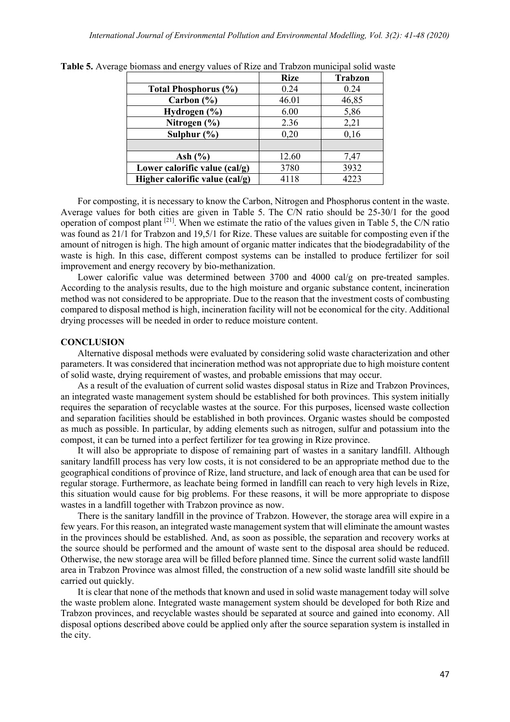|                                | <b>Rize</b> | <b>Trabzon</b> |
|--------------------------------|-------------|----------------|
| <b>Total Phosphorus (%)</b>    | 0.24        | 0.24           |
| Carbon $(\% )$                 | 46.01       | 46,85          |
| Hydrogen $(\% )$               | 6.00        | 5,86           |
| Nitrogen (%)                   | 2.36        | 2,21           |
| Sulphur $(\% )$                | 0,20        | 0,16           |
|                                |             |                |
| Ash $(\% )$                    | 12.60       | 7,47           |
| Lower calorific value (cal/g)  | 3780        | 3932           |
| Higher calorific value (cal/g) | 4118        | 4223           |

**Table 5.** Average biomass and energy values of Rize and Trabzon municipal solid waste

For composting, it is necessary to know the Carbon, Nitrogen and Phosphorus content in the waste. Average values for both cities are given in Table 5. The C/N ratio should be 25-30/1 for the good operation of compost plant [21]. When we estimate the ratio of the values given in Table 5, the C/N ratio was found as 21/1 for Trabzon and 19,5/1 for Rize. These values are suitable for composting even if the amount of nitrogen is high. The high amount of organic matter indicates that the biodegradability of the waste is high. In this case, different compost systems can be installed to produce fertilizer for soil improvement and energy recovery by bio-methanization.

Lower calorific value was determined between 3700 and 4000 cal/g on pre-treated samples. According to the analysis results, due to the high moisture and organic substance content, incineration method was not considered to be appropriate. Due to the reason that the investment costs of combusting compared to disposal method is high, incineration facility will not be economical for the city. Additional drying processes will be needed in order to reduce moisture content.

# **CONCLUSION**

Alternative disposal methods were evaluated by considering solid waste characterization and other parameters. It was considered that incineration method was not appropriate due to high moisture content of solid waste, drying requirement of wastes, and probable emissions that may occur.

As a result of the evaluation of current solid wastes disposal status in Rize and Trabzon Provinces, an integrated waste management system should be established for both provinces. This system initially requires the separation of recyclable wastes at the source. For this purposes, licensed waste collection and separation facilities should be established in both provinces. Organic wastes should be composted as much as possible. In particular, by adding elements such as nitrogen, sulfur and potassium into the compost, it can be turned into a perfect fertilizer for tea growing in Rize province.

It will also be appropriate to dispose of remaining part of wastes in a sanitary landfill. Although sanitary landfill process has very low costs, it is not considered to be an appropriate method due to the geographical conditions of province of Rize, land structure, and lack of enough area that can be used for regular storage. Furthermore, as leachate being formed in landfill can reach to very high levels in Rize, this situation would cause for big problems. For these reasons, it will be more appropriate to dispose wastes in a landfill together with Trabzon province as now.

There is the sanitary landfill in the province of Trabzon. However, the storage area will expire in a few years. For this reason, an integrated waste management system that will eliminate the amount wastes in the provinces should be established. And, as soon as possible, the separation and recovery works at the source should be performed and the amount of waste sent to the disposal area should be reduced. Otherwise, the new storage area will be filled before planned time. Since the current solid waste landfill area in Trabzon Province was almost filled, the construction of a new solid waste landfill site should be carried out quickly.

It is clear that none of the methods that known and used in solid waste management today will solve the waste problem alone. Integrated waste management system should be developed for both Rize and Trabzon provinces, and recyclable wastes should be separated at source and gained into economy. All disposal options described above could be applied only after the source separation system is installed in the city.